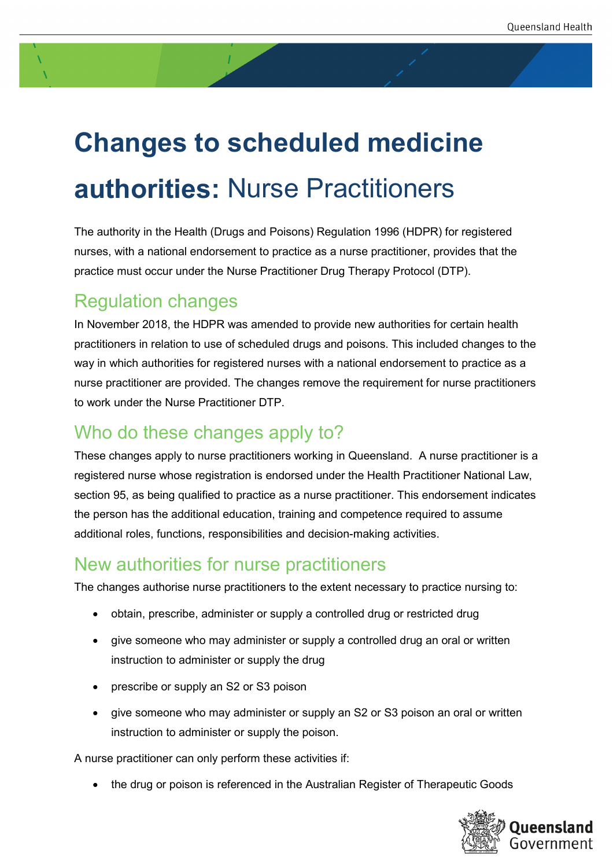# **Changes to scheduled medicine authorities:** Nurse Practitioners

The authority in the Health (Drugs and Poisons) Regulation 1996 (HDPR) for registered nurses, with a national endorsement to practice as a nurse practitioner, provides that the practice must occur under the Nurse Practitioner Drug Therapy Protocol (DTP).

## Regulation changes

In November 2018, the HDPR was amended to provide new authorities for certain health practitioners in relation to use of scheduled drugs and poisons. This included changes to the way in which authorities for registered nurses with a national endorsement to practice as a nurse practitioner are provided. The changes remove the requirement for nurse practitioners to work under the Nurse Practitioner DTP.

## Who do these changes apply to?

These changes apply to nurse practitioners working in Queensland. A nurse practitioner is a registered nurse whose registration is endorsed under the Health Practitioner National Law, section 95, as being qualified to practice as a nurse practitioner. This endorsement indicates the person has the additional education, training and competence required to assume additional roles, functions, responsibilities and decision-making activities.

## New authorities for nurse practitioners

The changes authorise nurse practitioners to the extent necessary to practice nursing to:

- obtain, prescribe, administer or supply a controlled drug or restricted drug
- give someone who may administer or supply a controlled drug an oral or written instruction to administer or supply the drug
- prescribe or supply an S2 or S3 poison
- give someone who may administer or supply an S2 or S3 poison an oral or written instruction to administer or supply the poison.

A nurse practitioner can only perform these activities if:

• the drug or poison is referenced in the Australian Register of Therapeutic Goods